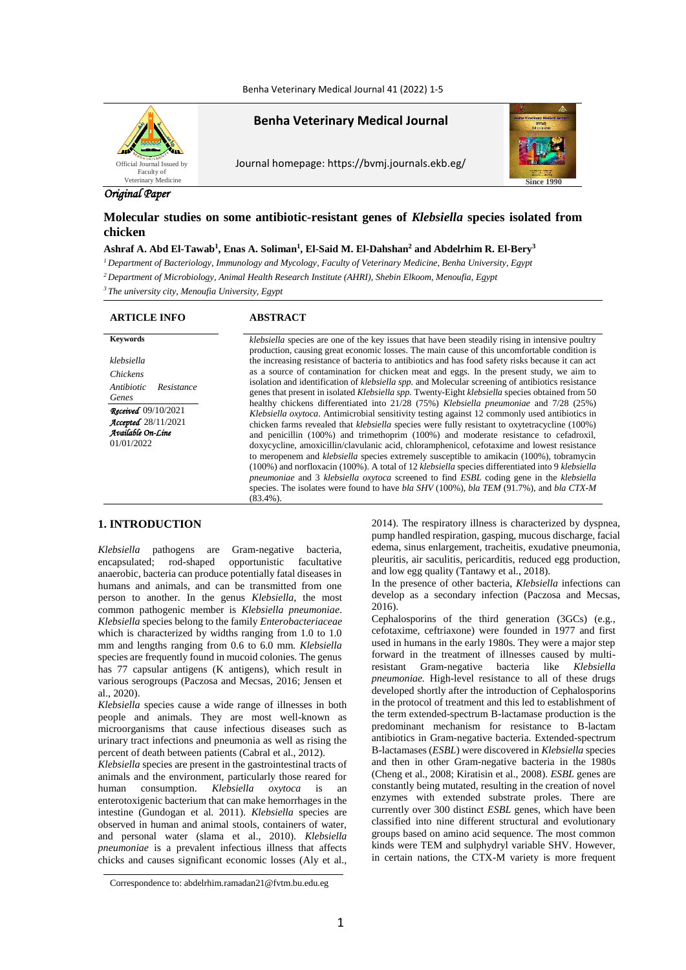Benha Veterinary Medical Journal 41 (2022) 1-5



**Benha Veterinary Medical Journal**

Journal homepage: https://bvmj.journals.ekb.eg/



# *Original Paper*

# **Molecular studies on some antibiotic-resistant genes of** *Klebsiella* **species isolated from chicken**

# **Ashraf A. Abd El-Tawab<sup>1</sup> , Enas A. Soliman<sup>1</sup> , El-Said M. El-Dahshan<sup>2</sup> and Abdelrhim R. El-Bery<sup>3</sup>**

*<sup>1</sup>Department of Bacteriology, Immunology and Mycology, Faculty of Veterinary Medicine, Benha University, Egypt <sup>2</sup>Department of Microbiology, Animal Health Research Institute (AHRI), Shebin Elkoom, Menoufia, Egypt*

*<sup>3</sup>The university city, Menoufia University, Egypt*

## **ARTICLE INFO ABSTRACT**

*klebsiella Chickens Antibiotic Resistance Genes Received*09/10/2021 *Accepted*28/11/2021 *Available On-Line* 01/01/2022

**Keywords** *klebsiella* species are one of the key issues that have been steadily rising in intensive poultry production, causing great economic losses. The main cause of this uncomfortable condition is the increasing resistance of bacteria to antibiotics and has food safety risks because it can act as a source of contamination for chicken meat and eggs. In the present study, we aim to isolation and identification of *klebsiella spp.* and Molecular screening of antibiotics resistance genes that present in isolated *Klebsiella spp.* Twenty-Eight *klebsiella* species obtained from 50 healthy chickens differentiated into 21/28 (75%) *Klebsiella pneumoniae* and 7/28 (25%) *Klebsiella oxytoca*. Antimicrobial sensitivity testing against 12 commonly used antibiotics in chicken farms revealed that *klebsiella* species were fully resistant to oxytetracycline (100%) and penicillin (100%) and trimethoprim (100%) and moderate resistance to cefadroxil, doxycycline, amoxicillin/clavulanic acid, chloramphenicol, cefotaxime and lowest resistance to meropenem and *klebsiella* species extremely susceptible to amikacin (100%), tobramycin (100%) and norfloxacin (100%). A total of 12 *klebsiella* species differentiated into 9 *klebsiella pneumoniae* and 3 *klebsiella oxytoca* screened to find *ESBL* coding gene in the *klebsiella*  species. The isolates were found to have *bla SHV* (100%), *bla TEM* (91.7%), and *bla CTX-M*  $(83.4\%)$ 

# **1. INTRODUCTION**

*Klebsiella* pathogens are Gram-negative bacteria, encapsulated; rod-shaped opportunistic facultative anaerobic, bacteria can produce potentially fatal diseases in humans and animals, and can be transmitted from one person to another. In the genus *Klebsiella*, the most common pathogenic member is *Klebsiella pneumoniae*. *Klebsiella* species belong to the family *Enterobacteriaceae* which is characterized by widths ranging from 1.0 to 1.0 mm and lengths ranging from 0.6 to 6.0 mm. *Klebsiella*  species are frequently found in mucoid colonies. The genus has 77 capsular antigens (K antigens), which result in various serogroups (Paczosa and Mecsas, 2016; Jensen et al., 2020).

*Klebsiella* species cause a wide range of illnesses in both people and animals. They are most well-known as microorganisms that cause infectious diseases such as urinary tract infections and pneumonia as well as rising the percent of death between patients (Cabral et al., 2012).

*Klebsiella* species are present in the gastrointestinal tracts of animals and the environment, particularly those reared for human consumption. *Klebsiella oxytoca* is an enterotoxigenic bacterium that can make hemorrhages in the intestine (Gundogan et al. 2011). *Klebsiella* species are observed in human and animal stools, containers of water, and personal water (slama et al., 2010). *Klebsiella pneumoniae* is a prevalent infectious illness that affects chicks and causes significant economic losses (Aly et al.,

2014). The respiratory illness is characterized by dyspnea, pump handled respiration, gasping, mucous discharge, facial edema, sinus enlargement, tracheitis, exudative pneumonia, pleuritis, air saculitis, pericarditis, reduced egg production, and low egg quality (Tantawy et al., 2018).

In the presence of other bacteria, *Klebsiella* infections can develop as a secondary infection (Paczosa and Mecsas, 2016).

Cephalosporins of the third generation (3GCs) (e.g., cefotaxime, ceftriaxone) were founded in 1977 and first used in humans in the early 1980s. They were a major step forward in the treatment of illnesses caused by multiresistant Gram-negative bacteria like *Klebsiella pneumoniae.* High-level resistance to all of these drugs developed shortly after the introduction of Cephalosporins in the protocol of treatment and this led to establishment of the term extended-spectrum B-lactamase production is the predominant mechanism for resistance to B-lactam antibiotics in Gram-negative bacteria. Extended-spectrum B-lactamases (*ESBL*) were discovered in *Klebsiella* species and then in other Gram-negative bacteria in the 1980s (Cheng et al., [2008;](tel:2008) Kiratisin et al., [2008\)](tel:2008). *ESBL* genes are constantly being mutated, resulting in the creation of novel enzymes with extended substrate proles. There are currently over 300 distinct *ESBL* genes, which have been classified into nine different structural and evolutionary groups based on amino acid sequence. The most common kinds were TEM and sulphydryl variable SHV. However, in certain nations, the CTX-M variety is more frequent

Correspondence to: abdelrhim.ramadan21@fvtm.bu.edu.eg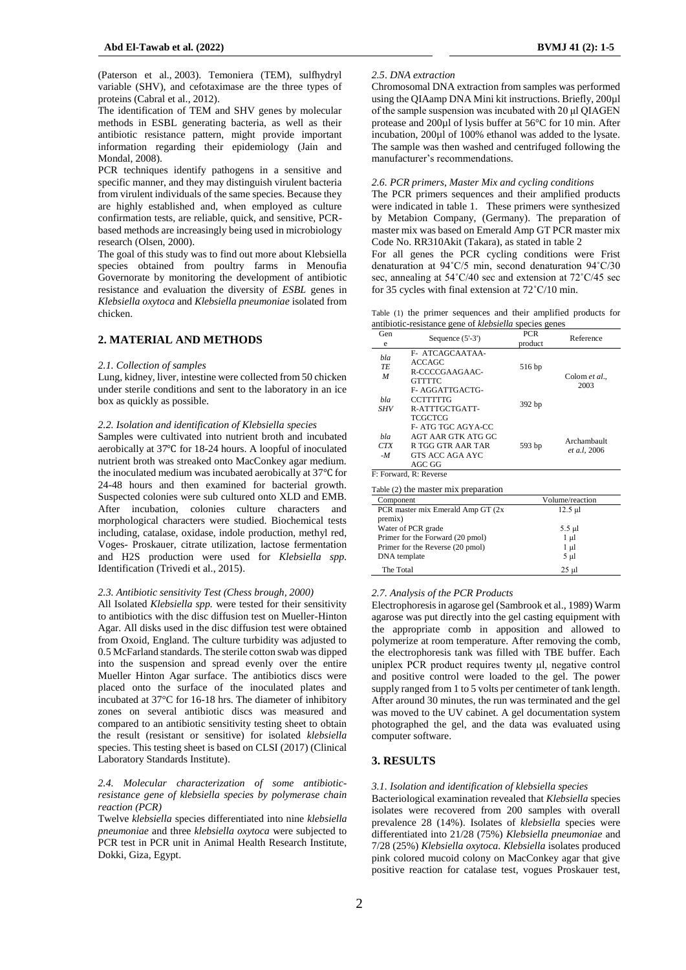(Paterson et al., [2003\)](tel:2003). Temoniera (TEM), sulfhydryl variable (SHV), and cefotaximase are the three types of proteins (Cabral et al., 2012).

The identification of TEM and SHV genes by molecular methods in ESBL generating bacteria, as well as their antibiotic resistance pattern, might provide important information regarding their epidemiology (Jain and Mondal, [2008\)](tel:2008).

PCR techniques identify pathogens in a sensitive and specific manner, and they may distinguish virulent bacteria from virulent individuals of the same species. Because they are highly established and, when employed as culture confirmation tests, are reliable, quick, and sensitive, PCRbased methods are increasingly being used in microbiology research (Olsen, 2000).

The goal of this study was to find out more about Klebsiella species obtained from poultry farms in Menoufia Governorate by monitoring the development of antibiotic resistance and evaluation the diversity of *ESBL* genes in *Klebsiella oxytoca* and *Klebsiella pneumoniae* isolated from chicken.

# **2. MATERIAL AND METHODS**

#### *2.1. Collection of samples*

Lung, kidney, liver, intestine were collected from 50 chicken under sterile conditions and sent to the laboratory in an ice box as quickly as possible.

#### *2.2. Isolation and identification of Klebsiella species*

Samples were cultivated into nutrient broth and incubated aerobically at 37℃ for 18-24 hours. A loopful of inoculated nutrient broth was streaked onto MacConkey agar medium. the inoculated medium was incubated aerobically at 37℃ for 24-48 hours and then examined for bacterial growth. Suspected colonies were sub cultured onto XLD and EMB. After incubation, colonies culture characters and morphological characters were studied. Biochemical tests including, catalase, oxidase, indole production, methyl red, Voges- Proskauer, citrate utilization, lactose fermentation and H2S production were used for *Klebsiella spp.*  Identification (Trivedi et al., 2015).

## *2.3. Antibiotic sensitivity Test (Chess brough, 2000)*

All Isolated *Klebsiella spp.* were tested for their sensitivity to antibiotics with the disc diffusion test on Mueller-Hinton Agar. All disks used in the disc diffusion test were obtained from Oxoid, England. The culture turbidity was adjusted to 0.5 McFarland standards. The sterile cotton swab was dipped into the suspension and spread evenly over the entire Mueller Hinton Agar surface. The antibiotics discs were placed onto the surface of the inoculated plates and incubated at 37°C for 16-18 hrs. The diameter of inhibitory zones on several antibiotic discs was measured and compared to an antibiotic sensitivity testing sheet to obtain the result (resistant or sensitive) for isolated *klebsiella* species. This testing sheet is based on CLSI (2017) (Clinical Laboratory Standards Institute).

## *2.4. Molecular characterization of some antibioticresistance gene of klebsiella species by polymerase chain reaction (PCR)*

Twelve *klebsiella* species differentiated into nine *klebsiella pneumoniae* and three *klebsiella oxytoca* were subjected to PCR test in PCR unit in Animal Health Research Institute, Dokki, Giza, Egypt.

#### *2.5*. *DNA extraction*

Chromosomal DNA extraction from samples was performed using the QIAamp DNA Mini kit instructions. Briefly, 200µl of the sample suspension was incubated with 20 μl QIAGEN protease and 200µl of lysis buffer at 56°C for 10 min. After incubation, 200µl of 100% ethanol was added to the lysate. The sample was then washed and centrifuged following the manufacturer's recommendations.

## *2.6. PCR primers, Master Mix and cycling conditions*

The PCR primers sequences and their amplified products were indicated in table 1. These primers were synthesized by Metabion Company, (Germany). The preparation of master mix was based on Emerald Amp GT PCR master mix Code No. RR310Akit (Takara), as stated in table 2

For all genes the PCR cycling conditions were Frist denaturation at 94˚C/5 min, second denaturation 94˚C/30 sec, annealing at 54˚C/40 sec and extension at 72˚C/45 sec for 35 cycles with final extension at 72˚C/10 min.

Table (1) the primer sequences and their amplified products for antibiotic-resistance gene of *klebsiella* species genes

| Gen<br>e                                                                                                   | Sequence $(5'-3')$                                                                                | <b>PCR</b><br>product          | Reference                   |  |  |  |  |
|------------------------------------------------------------------------------------------------------------|---------------------------------------------------------------------------------------------------|--------------------------------|-----------------------------|--|--|--|--|
| bla<br>TE<br>M                                                                                             | F- ATCAGCAATAA-<br><b>ACCAGC</b><br>R-CCCCGAAGAAC-<br><b>GTTTTC</b>                               | 516 bp                         | Colom et al.,               |  |  |  |  |
| bla<br>SHV                                                                                                 | F- AGGATTGACTG-<br><b>CCTTTTTG</b><br>R-ATTTGCTGATT-<br><b>TCGCTCG</b>                            | 392 bp                         | 2003                        |  |  |  |  |
| bla<br><b>CTX</b><br>$-M$                                                                                  | F- ATG TGC AGYA-CC<br><b>AGT AAR GTK ATG GC</b><br>R TGG GTR AAR TAR<br>GTS ACC AGA AYC<br>AGC GG | 593 bp                         | Archambault<br>et a.l, 2006 |  |  |  |  |
| F: Forward, R: Reverse                                                                                     |                                                                                                   |                                |                             |  |  |  |  |
| Table (2) the master mix preparation                                                                       |                                                                                                   |                                |                             |  |  |  |  |
| Component                                                                                                  |                                                                                                   | Volume/reaction                |                             |  |  |  |  |
| PCR master mix Emerald Amp GT (2x<br>premix)                                                               |                                                                                                   | $12.5 \mu$ l                   |                             |  |  |  |  |
| Water of PCR grade<br>Primer for the Forward (20 pmol)<br>Primer for the Reverse (20 pmol)<br>DNA template |                                                                                                   | 5.5 µl<br>1 µl<br>1 µl<br>5 µl |                             |  |  |  |  |

#### *2.7. Analysis of the PCR Products*

Electrophoresis in agarose gel (Sambrook et al., 1989) Warm agarose was put directly into the gel casting equipment with the appropriate comb in apposition and allowed to polymerize at room temperature. After removing the comb, the electrophoresis tank was filled with TBE buffer. Each uniplex PCR product requires twenty μl, negative control and positive control were loaded to the gel. The power supply ranged from 1 to 5 volts per centimeter of tank length. After around 30 minutes, the run was terminated and the gel was moved to the UV cabinet. A gel documentation system photographed the gel, and the data was evaluated using computer software.

The Total 25 μl

# **3. RESULTS**

## *3.1. Isolation and identification of klebsiella species*

Bacteriological examination revealed that *Klebsiella* species isolates were recovered from 200 samples with overall prevalence 28 (14%). Isolates of *klebsiella* species were differentiated into 21/28 (75%) *Klebsiella pneumoniae* and 7/28 (25%) *Klebsiella oxytoca. Klebsiella* isolates produced pink colored mucoid colony on MacConkey agar that give positive reaction for catalase test, vogues Proskauer test,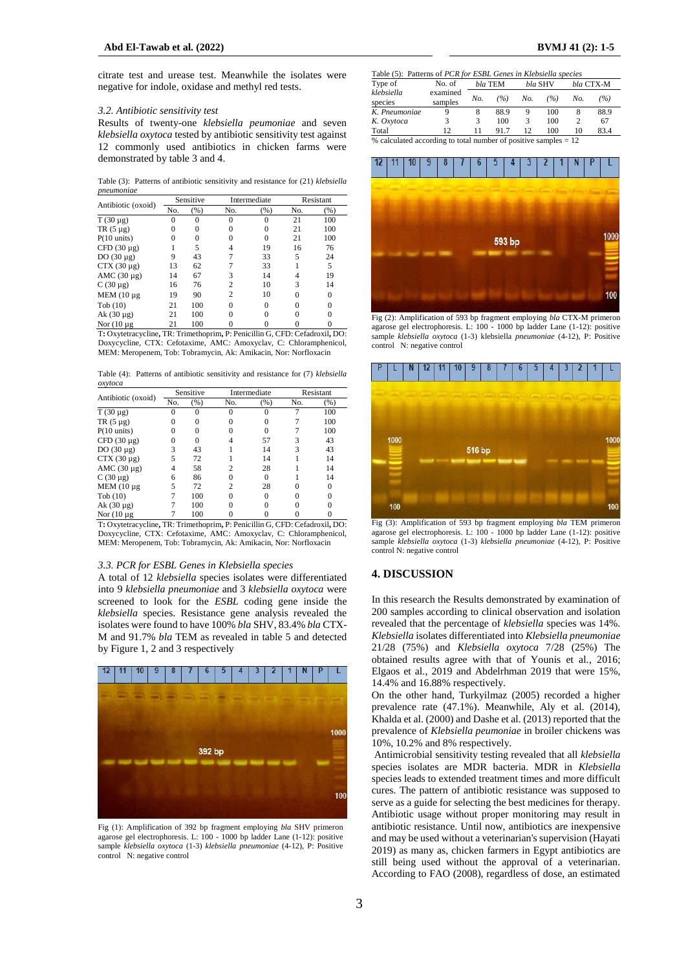citrate test and urease test. Meanwhile the isolates were negative for indole, oxidase and methyl red tests.

#### *3.2. Antibiotic sensitivity test*

Results of twenty-one *klebsiella peumoniae* and seven *klebsiella oxytoca* tested by antibiotic sensitivity test against 12 commonly used antibiotics in chicken farms were demonstrated by table 3 and 4.

Table (3): Patterns of antibiotic sensitivity and resistance for (21) *klebsiella pneumoniae*

| Antibiotic (oxoid)    | Sensitive |          |                | Intermediate | Resistant |          |
|-----------------------|-----------|----------|----------------|--------------|-----------|----------|
|                       | No.       | (%)      | No.            | (% )         | No.       | (% )     |
| $T(30 \mu g)$         | 0         | $\theta$ | $\Omega$       |              | 21        | 100      |
| $TR(5 \mu g)$         | 0         | $\Omega$ | 0              |              | 21        | 100      |
| $P(10 \text{ units})$ | 0         | 0        | 0              | $\Omega$     | 21        | 100      |
| CFD $(30 \mu g)$      |           | 5        | 4              | 19           | 16        | 76       |
| DO $(30 \mu g)$       | 9         | 43       | 7              | 33           | 5         | 24       |
| $CTX(30 \mu g)$       | 13        | 62       |                | 33           |           | 5        |
| AMC $(30 \mu g)$      | 14        | 67       | 3              | 14           | 4         | 19       |
| $C(30 \mu g)$         | 16        | 76       | $\overline{c}$ | 10           | 3         | 14       |
| MEM (10 µg)           | 19        | 90       | 2              | 10           | $\Omega$  | $\Omega$ |
| $\text{Tab}(10)$      | 21        | 100      | $\theta$       | $\Omega$     |           | 0        |
| Ak $(30 \mu g)$       | 21        | 100      | 0              |              |           | 0        |
| Nor $(10 \mu g)$      | 21        | 100      | 0              |              |           | $\theta$ |

T**:** Oxytetracycline**,** TR: Trimethoprim**,** P: Penicillin G, CFD: Cefadroxil**,** DO: Doxycycline, CTX: Cefotaxime, AMC: Amoxyclav, C: Chloramphenicol, MEM: Meropenem, Tob: Tobramycin, Ak: Amikacin, Nor: Norfloxacin

Table (4): Patterns of antibiotic sensitivity and resistance for (7) *klebsiella oxytoca*

| Antibiotic (oxoid)    | Sensitive |     |                | Intermediate |     | Resistant |  |
|-----------------------|-----------|-----|----------------|--------------|-----|-----------|--|
|                       | No.       | (%) | No.            | (% )         | No. | (% )      |  |
| $T(30 \mu g)$         | $\Omega$  | 0   | $\theta$       |              |     | 100       |  |
| $TR(5 \mu g)$         | 0         |     |                |              |     | 100       |  |
| $P(10 \text{ units})$ | 0         |     |                |              |     | 100       |  |
| CFD $(30 \mu g)$      |           |     |                | 57           | 3   | 43        |  |
| DO $(30 \mu g)$       | 3         | 43  |                | 14           | 3   | 43        |  |
| $CTX(30 \mu g)$       | 5         | 72  |                | 14           |     | 14        |  |
| AMC $(30 \mu g)$      | 4         | 58  | 2              | 28           |     | 14        |  |
| $C(30 \mu g)$         | 6         | 86  | 0              | $\Omega$     |     | 14        |  |
| MEM $(10 \mu g)$      | 5         | 72  | $\overline{c}$ | 28           |     | 0         |  |
| $\text{Tab}(10)$      |           | 100 |                |              |     |           |  |
| Ak $(30 \mu g)$       |           | 100 |                |              |     |           |  |
| Nor $(10 \mu g)$      |           | 100 |                |              |     |           |  |

T**:** Oxytetracycline**,** TR: Trimethoprim**,** P: Penicillin G, CFD: Cefadroxil**,** DO: Doxycycline, CTX: Cefotaxime, AMC: Amoxyclav, C: Chloramphenicol, MEM: Meropenem, Tob: Tobramycin, Ak: Amikacin, Nor: Norfloxacin

#### *3.3. PCR for ESBL Genes in Klebsiella species*

A total of 12 *klebsiella* species isolates were differentiated into 9 *klebsiella pneumoniae* and 3 *klebsiella oxytoca* were screened to look for the *ESBL* coding gene inside the *klebsiella* species. Resistance gene analysis revealed the isolates were found to have 100% *bla* SHV, 83.4% *bla* CTX-M and 91.7% *bla* TEM as revealed in table 5 and detected by Figure 1, 2 and 3 respectively



Fig (1): Amplification of 392 bp fragment employing *bla* SHV primeron agarose gel electrophoresis. L: 100 - 1000 bp ladder Lane (1-12): positive sample *klebsiella oxytoca* (1-3) *klebsiella pneumoniae* (4-12), P: Positive control N: negative control

| Table (5): Patterns of <i>PCR</i> for <i>ESBL</i> Genes in <i>Klebsiella species</i> |                     |         |      |         |     |           |      |
|--------------------------------------------------------------------------------------|---------------------|---------|------|---------|-----|-----------|------|
| Type of                                                                              | No. of              | bla TEM |      | bla SHV |     | bla CTX-M |      |
| klebsiella<br>species                                                                | examined<br>samples | No.     | (%)  | No.     | (%) | No.       | (%)  |
| K. Pneumoniae                                                                        |                     | 8       | 88.9 | 9       | 100 | 8         | 88.9 |
| K. Oxytoca                                                                           | 3                   | 3       | 100  | 3       | 100 | 2         | 67   |
| Total                                                                                | 12                  | 11      | 91.7 | 12      | 100 | 10        | 83.4 |
| % calculated according to total number of positive samples $= 12$                    |                     |         |      |         |     |           |      |



Fig (2): Amplification of 593 bp fragment employing *bla* CTX-M primeron agarose gel electrophoresis. L: 100 - 1000 bp ladder Lane (1-12): positive sample *klebsiella oxytoca* (1-3) klebsiella *pneumoniae* (4-12), P: Positive control N: negative control



Fig (3): Amplification of 593 bp fragment employing *bla* TEM primeron agarose gel electrophoresis. L: 100 - 1000 bp ladder Lane (1-12): positive sample *klebsiella oxytoca* (1-3) *klebsiella pneumoniae* (4-12), P: Positive control N: negative control

# **4. DISCUSSION**

In this research the Results demonstrated by examination of 200 samples according to clinical observation and isolation revealed that the percentage of *klebsiella* species was 14%. *Klebsiella* isolates differentiated into *Klebsiella pneumoniae*  21/28 (75%) and *Klebsiella oxytoca* 7/28 (25%) The obtained results agree with that of Younis et al., 2016; Elgaos et al., 2019 and Abdelrhman 2019 that were 15%, 14.4% and 16.88% respectively.

On the other hand, Turkyilmaz (2005) recorded a higher prevalence rate (47.1%). Meanwhile, Aly et al. (2014), Khalda et al. (2000) and Dashe et al. (2013) reported that the prevalence of *Klebsiella peumoniae* in broiler chickens was 10%, 10.2% and 8% respectively.

Antimicrobial sensitivity testing revealed that all *klebsiella* species isolates are MDR bacteria. MDR in *Klebsiella* species leads to extended treatment times and more difficult cures. The pattern of antibiotic resistance was supposed to serve as a guide for selecting the best medicines for therapy. Antibiotic usage without proper monitoring may result in antibiotic resistance. Until now, antibiotics are inexpensive and may be used without a veterinarian's supervision (Hayati 2019) as many as, chicken farmers in Egypt antibiotics are still being used without the approval of a veterinarian. According to FAO (2008), regardless of dose, an estimated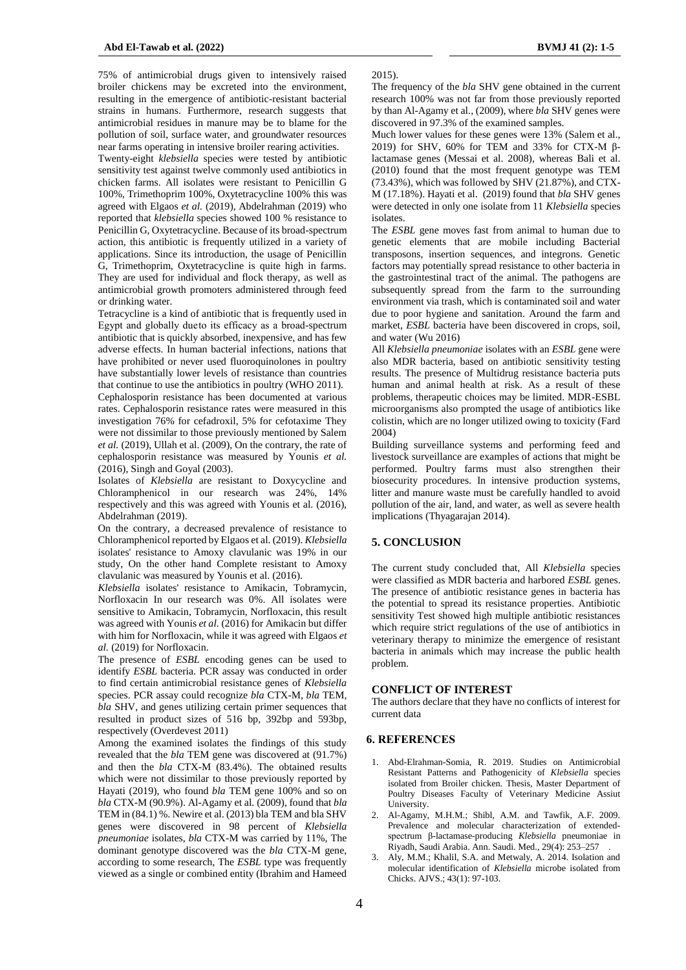75% of antimicrobial drugs given to intensively raised broiler chickens may be excreted into the environment, resulting in the emergence of antibiotic-resistant bacterial strains in humans. Furthermore, research suggests that antimicrobial residues in manure may be to blame for the pollution of soil, surface water, and groundwater resources near farms operating in intensive broiler rearing activities.

Twenty-eight *klebsiella* species were tested by antibiotic sensitivity test against twelve commonly used antibiotics in chicken farms. All isolates were resistant to Penicillin G 100%, Trimethoprim 100%, Oxytetracycline 100% this was agreed with Elgaos *et al.* (2019), Abdelrahman (2019) who reported that *klebsiella* species showed 100 % resistance to Penicillin G, Oxytetracycline. Because of its broad-spectrum action, this antibiotic is frequently utilized in a variety of applications. Since its introduction, the usage of Penicillin G, Trimethoprim, Oxytetracycline is quite high in farms. They are used for individual and flock therapy, as well as antimicrobial growth promoters administered through feed or drinking water.

Tetracycline is a kind of antibiotic that is frequently used in Egypt and globally dueto its efficacy as a broad-spectrum antibiotic that is quickly absorbed, inexpensive, and has few adverse effects. In human bacterial infections, nations that have prohibited or never used fluoroquinolones in poultry have substantially lower levels of resistance than countries that continue to use the antibiotics in poultry (WHO 2011).

Cephalosporin resistance has been documented at various rates. Cephalosporin resistance rates were measured in this investigation 76% for cefadroxil, 5% for cefotaxime They were not dissimilar to those previously mentioned by Salem *et al.* (2019), Ullah et al. (2009), On the contrary, the rate of cephalosporin resistance was measured by Younis *et al.*  (2016), Singh and Goyal (2003).

Isolates of *Klebsiella* are resistant to Doxycycline and Chloramphenicol in our research was 24%, 14% respectively and this was agreed with Younis et al. (2016), Abdelrahman (2019).

On the contrary, a decreased prevalence of resistance to Chloramphenicol reported by Elgaos et al. (2019). *Klebsiella* isolates' resistance to Amoxy clavulanic was 19% in our study, On the other hand Complete resistant to Amoxy clavulanic was measured by Younis et al. (2016).

*Klebsiella* isolates' resistance to Amikacin, Tobramycin, Norfloxacin In our research was 0%. All isolates were sensitive to Amikacin, Tobramycin, Norfloxacin, this result was agreed with Younis et al. (2016) for Amikacin but differ with him for Norfloxacin, while it was agreed with Elgaos *et al.* (2019) for Norfloxacin.

The presence of *ESBL* encoding genes can be used to identify *ESBL* bacteria. PCR assay was conducted in order to find certain antimicrobial resistance genes of *Klebsiella*  species. PCR assay could recognize *bla* CTX-M, *bla* TEM, *bla* SHV, and genes utilizing certain primer sequences that resulted in product sizes of 516 bp, 392bp and 593bp, respectively (Overdevest 2011)

Among the examined isolates the findings of this study revealed that the *bla* TEM gene was discovered at (91.7%) and then the *bla* CTX-M (83.4%). The obtained results which were not dissimilar to those previously reported by Hayati (2019), who found *bla* TEM gene 100% and so on *bla* CTX-M (90.9%). Al-Agamy et al. (2009), found that *bla* TEM in (84.1) %. Newire et al. (2013) bla TEM and bla SHV genes were discovered in 98 percent of *Klebsiella pneumoniae* isolates, *bla* CTX-M was carried by 11%, The dominant genotype discovered was the *bla* CTX-M gene, according to some research, The *ESBL* type was frequently viewed as a single or combined entity (Ibrahim and Hameed

2015).

The frequency of the *bla* SHV gene obtained in the current research 100% was not far from those previously reported by than Al-Agamy et al., (2009), where *bla* SHV genes were discovered in 97.3% of the examined samples.

Much lower values for these genes were 13% (Salem et al., 2019) for SHV, 60% for TEM and 33% for CTX-M βlactamase genes (Messai et al. 2008), whereas Bali et al. (2010) found that the most frequent genotype was TEM  $(73.43\%)$ , which was followed by SHV (21.87%), and CTX-M (17.18%). Hayati et al. (2019) found that *bla* SHV genes were detected in only one isolate from 11 *Klebsiella* species isolates.

The *ESBL* gene moves fast from animal to human due to genetic elements that are mobile including Bacterial transposons, insertion sequences, and integrons. Genetic factors may potentially spread resistance to other bacteria in the gastrointestinal tract of the animal. The pathogens are subsequently spread from the farm to the surrounding environment via trash, which is contaminated soil and water due to poor hygiene and sanitation. Around the farm and market, *ESBL* bacteria have been discovered in crops, soil, and water (Wu 2016)

All *Klebsiella pneumoniae* isolates with an *ESBL* gene were also MDR bacteria, based on antibiotic sensitivity testing results. The presence of Multidrug resistance bacteria puts human and animal health at risk. As a result of these problems, therapeutic choices may be limited. MDR-ESBL microorganisms also prompted the usage of antibiotics like colistin, which are no longer utilized owing to toxicity (Fard 2004)

Building surveillance systems and performing feed and livestock surveillance are examples of actions that might be performed. Poultry farms must also strengthen their biosecurity procedures. In intensive production systems, litter and manure waste must be carefully handled to avoid pollution of the air, land, and water, as well as severe health implications (Thyagarajan 2014).

## **5. CONCLUSION**

The current study concluded that, All *Klebsiella* species were classified as MDR bacteria and harbored *ESBL* genes. The presence of antibiotic resistance genes in bacteria has the potential to spread its resistance properties. Antibiotic sensitivity Test showed high multiple antibiotic resistances which require strict regulations of the use of antibiotics in veterinary therapy to minimize the emergence of resistant bacteria in animals which may increase the public health problem.

## **CONFLICT OF INTEREST**

The authors declare that they have no conflicts of interest for current data

#### **6. REFERENCES**

- 1. Abd-Elrahman-Somia, R. 2019. Studies on Antimicrobial Resistant Patterns and Pathogenicity of *Klebsiella* species isolated from Broiler chicken. Thesis, Master Department of Poultry Diseases Faculty of Veterinary Medicine Assiut University.
- 2. Al-Agamy, M.H.M.; Shibl, A.M. and Tawfik, A.F. 2009. Prevalence and molecular characterization of extendedspectrum β-lactamase-producing *Klebsiella* pneumoniae in Riyadh, Saudi Arabia. Ann. Saudi. Med., 29(4): 253–257 .
- 3. Aly, M.M.; Khalil, S.A. and Metwaly, A. 2014. Isolation and molecular identification of *Klebsiella* microbe isolated from Chicks. AJVS.; 43(1): 97-103.